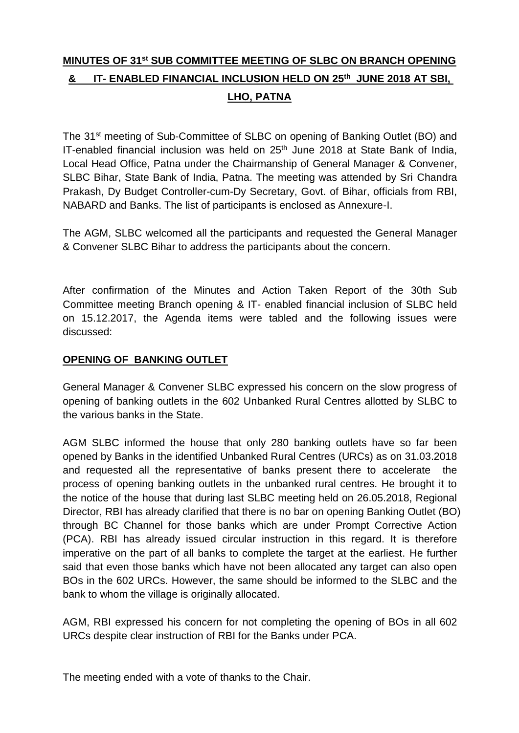## **MINUTES OF 31 st SUB COMMITTEE MEETING OF SLBC ON BRANCH OPENING & IT- ENABLED FINANCIAL INCLUSION HELD ON 25th JUNE 2018 AT SBI, LHO, PATNA**

The 31st meeting of Sub-Committee of SLBC on opening of Banking Outlet (BO) and IT-enabled financial inclusion was held on  $25<sup>th</sup>$  June 2018 at State Bank of India. Local Head Office, Patna under the Chairmanship of General Manager & Convener, SLBC Bihar, State Bank of India, Patna. The meeting was attended by Sri Chandra Prakash, Dy Budget Controller-cum-Dy Secretary, Govt. of Bihar, officials from RBI, NABARD and Banks. The list of participants is enclosed as Annexure-I.

The AGM, SLBC welcomed all the participants and requested the General Manager & Convener SLBC Bihar to address the participants about the concern.

After confirmation of the Minutes and Action Taken Report of the 30th Sub Committee meeting Branch opening & IT- enabled financial inclusion of SLBC held on 15.12.2017, the Agenda items were tabled and the following issues were discussed:

## **OPENING OF BANKING OUTLET**

General Manager & Convener SLBC expressed his concern on the slow progress of opening of banking outlets in the 602 Unbanked Rural Centres allotted by SLBC to the various banks in the State.

AGM SLBC informed the house that only 280 banking outlets have so far been opened by Banks in the identified Unbanked Rural Centres (URCs) as on 31.03.2018 and requested all the representative of banks present there to accelerate the process of opening banking outlets in the unbanked rural centres. He brought it to the notice of the house that during last SLBC meeting held on 26.05.2018, Regional Director, RBI has already clarified that there is no bar on opening Banking Outlet (BO) through BC Channel for those banks which are under Prompt Corrective Action (PCA). RBI has already issued circular instruction in this regard. It is therefore imperative on the part of all banks to complete the target at the earliest. He further said that even those banks which have not been allocated any target can also open BOs in the 602 URCs. However, the same should be informed to the SLBC and the bank to whom the village is originally allocated.

AGM, RBI expressed his concern for not completing the opening of BOs in all 602 URCs despite clear instruction of RBI for the Banks under PCA.

The meeting ended with a vote of thanks to the Chair.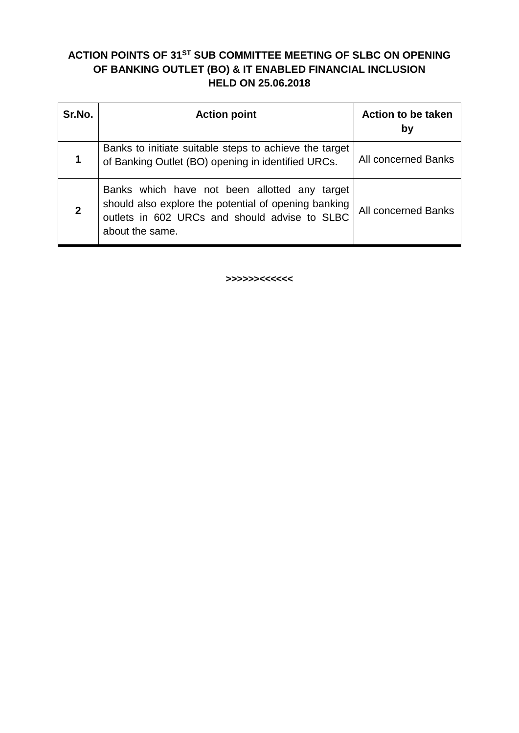## **ACTION POINTS OF 31ST SUB COMMITTEE MEETING OF SLBC ON OPENING OF BANKING OUTLET (BO) & IT ENABLED FINANCIAL INCLUSION HELD ON 25.06.2018**

| Sr.No.       | <b>Action point</b>                                                                                                                                                       | <b>Action to be taken</b><br>by |
|--------------|---------------------------------------------------------------------------------------------------------------------------------------------------------------------------|---------------------------------|
|              | Banks to initiate suitable steps to achieve the target<br>of Banking Outlet (BO) opening in identified URCs.                                                              | <b>All concerned Banks</b>      |
| $\mathbf{2}$ | Banks which have not been allotted any target<br>should also explore the potential of opening banking<br>outlets in 602 URCs and should advise to SLBC<br>about the same. | All concerned Banks             |

**>>>>>><<<<<<**